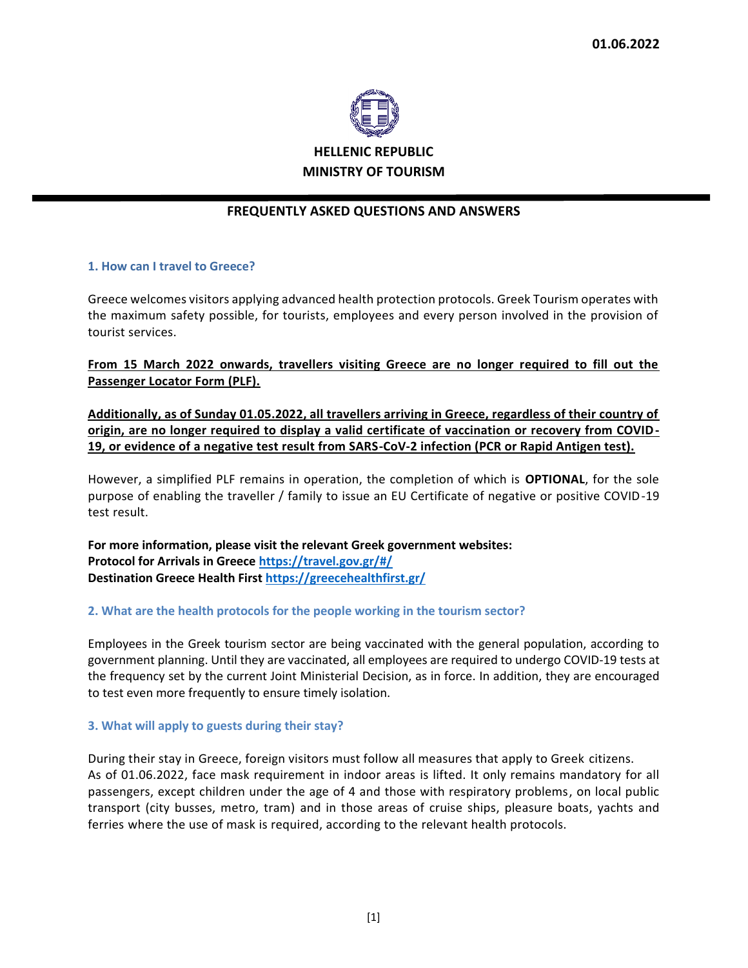

# **FREQUENTLY ASKED QUESTIONS AND ANSWERS**

## **1. How can I travel to Greece?**

Greece welcomes visitors applying advanced health protection protocols. Greek Tourism operates with the maximum safety possible, for tourists, employees and every person involved in the provision of tourist services.

**From 15 March 2022 onwards, travellers visiting Greece are no longer required to fill out the Passenger Locator Form (PLF).**

**Additionally, as of Sunday 01.05.2022, all travellers arriving in Greece, regardless of their country of origin, are no longer required to display a valid certificate of vaccination or recovery from COVID-19, or evidence of a negative test result from SARS-CoV-2 infection (PCR or Rapid Antigen test).**

However, a simplified PLF remains in operation, the completion of which is **OPTIONAL**, for the sole purpose of enabling the traveller / family to issue an EU Certificate of negative or positive COVID-19 test result.

**For more information, please visit the relevant Greek government websites: Protocol for Arrivals in Greece https://travel.gov.gr/#/ Destination Greece Health First https://greecehealthfirst.gr/**

#### **2. What are the health protocols for the people working in the tourism sector?**

Employees in the Greek tourism sector are being vaccinated with the general population, according to government planning. Until they are vaccinated, all employees are required to undergo COVID-19 tests at the frequency set by the current Joint Ministerial Decision, as in force. In addition, they are encouraged to test even more frequently to ensure timely isolation.

#### **3. What will apply to guests during their stay?**

During their stay in Greece, foreign visitors must follow all measures that apply to Greek citizens. As of 01.06.2022, face mask requirement in indoor areas is lifted. It only remains mandatory for all passengers, except children under the age of 4 and those with respiratory problems, on local public transport (city busses, metro, tram) and in those areas of cruise ships, pleasure boats, yachts and ferries where the use of mask is required, according to the relevant health protocols.